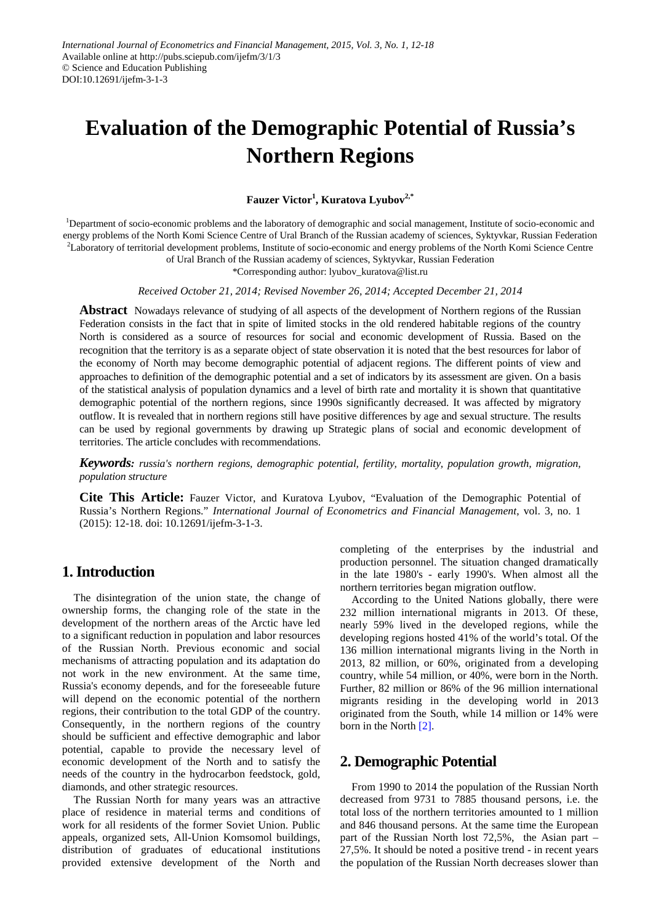# **Evaluation of the Demographic Potential of Russia's Northern Regions**

#### **Fauzer Victor<sup>1</sup> , Kuratova Lyubov2,\***

<sup>1</sup>Department of socio-economic problems and the laboratory of demographic and social management, Institute of socio-economic and energy problems of the North Komi Science Centre of Ural Branch of the Russian academy of sciences, Syktyvkar, Russian Federation <sup>2</sup>Laboratory of territorial development problems, Institute of socio-economic and energy problems of the North Komi Science Centre

of Ural Branch of the Russian academy of sciences, Syktyvkar, Russian Federation

\*Corresponding author: lyubov\_kuratova@list.ru

*Received October 21, 2014; Revised November 26, 2014; Accepted December 21, 2014*

**Abstract** Nowadays relevance of studying of all aspects of the development of Northern regions of the Russian Federation consists in the fact that in spite of limited stocks in the old rendered habitable regions of the country North is considered as a source of resources for social and economic development of Russia. Based on the recognition that the territory is as a separate object of state observation it is noted that the best resources for labor of the economy of North may become demographic potential of adjacent regions. The different points of view and approaches to definition of the demographic potential and a set of indicators by its assessment are given. On a basis of the statistical analysis of population dynamics and a level of birth rate and mortality it is shown that quantitative demographic potential of the northern regions, since 1990s significantly decreased. It was affected by migratory outflow. It is revealed that in northern regions still have positive differences by age and sexual structure. The results can be used by regional governments by drawing up Strategic plans of social and economic development of territories. The article concludes with recommendations.

*Keywords: russia's northern regions, demographic potential, fertility, mortality, population growth, migration, population structure*

**Cite This Article:** Fauzer Victor, and Kuratova Lyubov, "Evaluation of the Demographic Potential of Russia's Northern Regions." *International Journal of Econometrics and Financial Management*, vol. 3, no. 1 (2015): 12-18. doi: 10.12691/ijefm-3-1-3.

## **1. Introduction**

The disintegration of the union state, the change of ownership forms, the changing role of the state in the development of the northern areas of the Arctic have led to a significant reduction in population and labor resources of the Russian North. Previous economic and social mechanisms of attracting population and its adaptation do not work in the new environment. At the same time, Russia's economy depends, and for the foreseeable future will depend on the economic potential of the northern regions, their contribution to the total GDP of the country. Consequently, in the northern regions of the country should be sufficient and effective demographic and labor potential, capable to provide the necessary level of economic development of the North and to satisfy the needs of the country in the hydrocarbon feedstock, gold, diamonds, and other strategic resources.

The Russian North for many years was an attractive place of residence in material terms and conditions of work for all residents of the former Soviet Union. Public appeals, organized sets, All-Union Komsomol buildings, distribution of graduates of educational institutions provided extensive development of the North and

completing of the enterprises by the industrial and production personnel. The situation changed dramatically in the late 1980's - early 1990's. When almost all the northern territories began migration outflow.

According to the United Nations globally, there were 232 million international migrants in 2013. Of these, nearly 59% lived in the developed regions, while the developing regions hosted 41% of the world's total. Of the 136 million international migrants living in the North in 2013, 82 million, or 60%, originated from a developing country, while 54 million, or 40%, were born in the North. Further, 82 million or 86% of the 96 million international migrants residing in the developing world in 2013 originated from the South, while 14 million or 14% were born in the North [2].

## **2. Demographic Potential**

From 1990 to 2014 the population of the Russian North decreased from 9731 to 7885 thousand persons, i.e. the total loss of the northern territories amounted to 1 million and 846 thousand persons. At the same time the European part of the Russian North lost 72,5%, the Asian part – 27,5%. It should be noted a positive trend - in recent years the population of the Russian North decreases slower than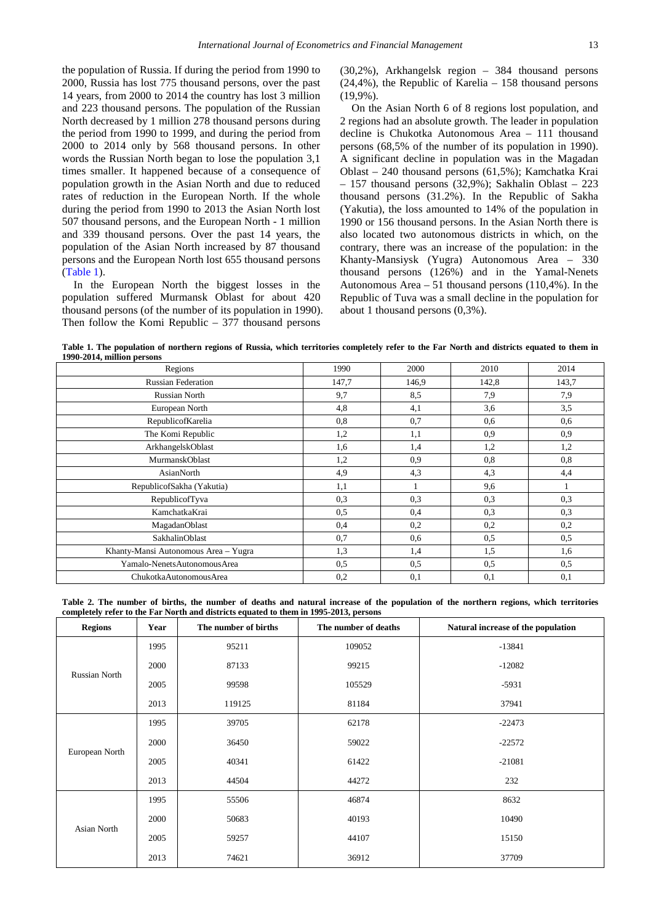the population of Russia. If during the period from 1990 to 2000, Russia has lost 775 thousand persons, over the past 14 years, from 2000 to 2014 the country has lost 3 million and 223 thousand persons. The population of the Russian North decreased by 1 million 278 thousand persons during the period from 1990 to 1999, and during the period from 2000 to 2014 only by 568 thousand persons. In other words the Russian North began to lose the population 3,1 times smaller. It happened because of a consequence of population growth in the Asian North and due to reduced rates of reduction in the European North. If the whole during the period from 1990 to 2013 the Asian North lost 507 thousand persons, and the European North - 1 million and 339 thousand persons. Over the past 14 years, the population of the Asian North increased by 87 thousand persons and the European North lost 655 thousand persons [\(Table 1\)](#page-1-0).

In the European North the biggest losses in the population suffered Murmansk Oblast for about 420 thousand persons (of the number of its population in 1990). Then follow the Komi Republic – 377 thousand persons

(30,2%), Arkhangelsk region – 384 thousand persons (24,4%), the Republic of Karelia – 158 thousand persons (19,9%).

On the Asian North 6 of 8 regions lost population, and 2 regions had an absolute growth. The leader in population decline is Chukotka Autonomous Area – 111 thousand persons (68,5% of the number of its population in 1990). A significant decline in population was in the Magadan Oblast – 240 thousand persons (61,5%); Kamchatka Krai  $-157$  thousand persons (32,9%); Sakhalin Oblast  $-223$ thousand persons (31.2%). In the Republic of Sakha (Yakutia), the loss amounted to 14% of the population in 1990 or 156 thousand persons. In the Asian North there is also located two autonomous districts in which, on the contrary, there was an increase of the population: in the Khanty-Mansiysk (Yugra) Autonomous Area – 330 thousand persons (126%) and in the Yamal-Nenets Autonomous Area – 51 thousand persons (110,4%). In the Republic of Tuva was a small decline in the population for about 1 thousand persons (0,3%).

**Table 1. The population of northern regions of Russia, which territories completely refer to the Far North and districts equated to them in 1990-2014, million persons**

<span id="page-1-0"></span>

| Regions                              | 1990  | 2000  | 2010  | 2014  |
|--------------------------------------|-------|-------|-------|-------|
| <b>Russian Federation</b>            | 147,7 | 146,9 | 142,8 | 143,7 |
| Russian North                        | 9,7   | 8,5   | 7,9   | 7,9   |
| European North                       | 4,8   | 4,1   | 3,6   | 3,5   |
| RepublicofKarelia                    | 0,8   | 0,7   | 0.6   | 0,6   |
| The Komi Republic                    | 1,2   | 1,1   | 0.9   | 0,9   |
| ArkhangelskOblast                    | 1,6   | 1,4   | 1,2   | 1,2   |
| MurmanskOblast                       | 1,2   | 0,9   | 0,8   | 0,8   |
| AsianNorth                           | 4,9   | 4,3   | 4,3   | 4,4   |
| RepublicofSakha (Yakutia)            | 1,1   |       | 9,6   |       |
| RepublicofTyva                       | 0,3   | 0.3   | 0.3   | 0,3   |
| KamchatkaKrai                        | 0,5   | 0,4   | 0.3   | 0.3   |
| MagadanOblast                        | 0,4   | 0,2   | 0,2   | 0,2   |
| SakhalinOblast                       | 0,7   | 0,6   | 0,5   | 0,5   |
| Khanty-Mansi Autonomous Area - Yugra | 1,3   | 1,4   | 1,5   | 1,6   |
| Yamalo-NenetsAutonomousArea          | 0,5   | 0,5   | 0.5   | 0,5   |
| ChukotkaAutonomousArea               | 0,2   | 0,1   | 0,1   | 0,1   |

**Table 2. The number of births, the number of deaths and natural increase of the population of the northern regions, which territories completely refer to the Far North and districts equated to them in 1995-2013, persons**

<span id="page-1-1"></span>

| <b>Regions</b> | Year | The number of births | The number of deaths | Natural increase of the population |
|----------------|------|----------------------|----------------------|------------------------------------|
| Russian North  | 1995 | 95211                | 109052               | $-13841$                           |
|                | 2000 | 87133                | 99215                | $-12082$                           |
|                | 2005 | 99598                | 105529               | $-5931$                            |
|                | 2013 | 119125               | 81184                | 37941                              |
| European North | 1995 | 39705                | 62178                | $-22473$                           |
|                | 2000 | 36450                | 59022                | $-22572$                           |
|                | 2005 | 40341                | 61422                | $-21081$                           |
|                | 2013 | 44504                | 44272                | 232                                |
| Asian North    | 1995 | 55506                | 46874                | 8632                               |
|                | 2000 | 50683                | 40193                | 10490                              |
|                | 2005 | 59257                | 44107                | 15150                              |
|                | 2013 | 74621                | 36912                | 37709                              |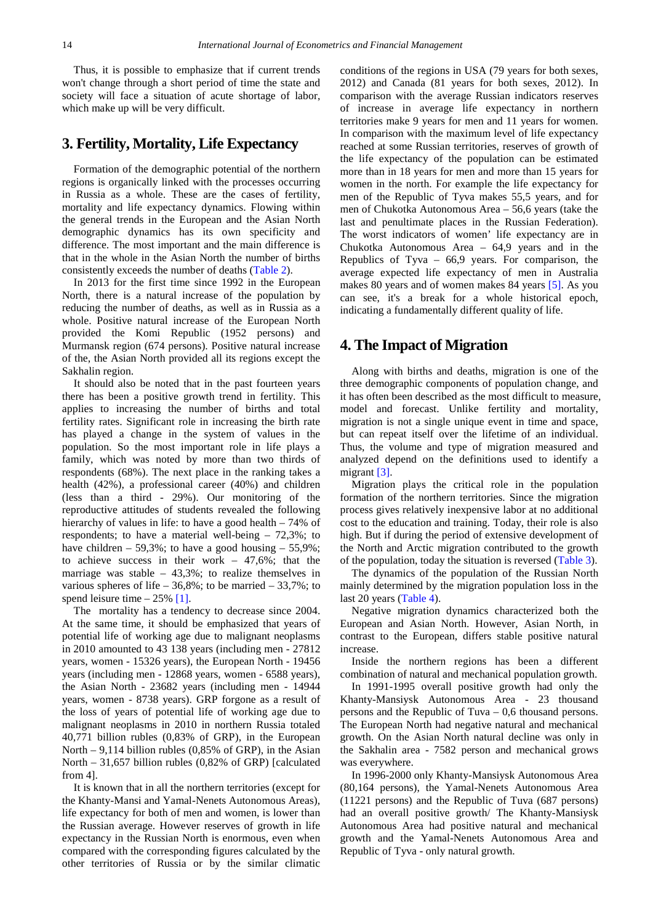Thus, it is possible to emphasize that if current trends won't change through a short period of time the state and society will face a situation of acute shortage of labor, which make up will be very difficult.

#### **3. Fertility, Mortality, Life Expectancy**

Formation of the demographic potential of the northern regions is organically linked with the processes occurring in Russia as a whole. These are the cases of fertility, mortality and life expectancy dynamics. Flowing within the general trends in the European and the Asian North demographic dynamics has its own specificity and difference. The most important and the main difference is that in the whole in the Asian North the number of births consistently exceeds the number of deaths [\(Table 2\)](#page-1-1).

In 2013 for the first time since 1992 in the European North, there is a natural increase of the population by reducing the number of deaths, as well as in Russia as a whole. Positive natural increase of the European North provided the Komi Republic (1952 persons) and Murmansk region (674 persons). Positive natural increase of the, the Asian North provided all its regions except the Sakhalin region.

It should also be noted that in the past fourteen years there has been a positive growth trend in fertility. This applies to increasing the number of births and total fertility rates. Significant role in increasing the birth rate has played a change in the system of values in the population. So the most important role in life plays a family, which was noted by more than two thirds of respondents (68%). The next place in the ranking takes a health (42%), a professional career (40%) and children (less than a third - 29%). Our monitoring of the reproductive attitudes of students revealed the following hierarchy of values in life: to have a good health – 74% of respondents; to have a material well-being – 72,3%; to have children – 59.3%; to have a good housing – 55.9%; to achieve success in their work – 47,6%; that the marriage was stable  $-43,3\%$ ; to realize themselves in various spheres of life –  $36,8\%$ ; to be married –  $33,7\%$ ; to spend leisure time  $-25\%$  [1].

The mortality has a tendency to decrease since 2004. At the same time, it should be emphasized that years of potential life of working age due to malignant neoplasms in 2010 amounted to 43 138 years (including men - 27812 years, women - 15326 years), the European North - 19456 years (including men - 12868 years, women - 6588 years), the Asian North - 23682 years (including men - 14944 years, women - 8738 years). GRP forgone as a result of the loss of years of potential life of working age due to malignant neoplasms in 2010 in northern Russia totaled 40,771 billion rubles (0,83% of GRP), in the European North – 9,114 billion rubles (0,85% of GRP), in the Asian North – 31,657 billion rubles (0,82% of GRP) [calculated from 4].

It is known that in all the northern territories (except for the Khanty-Mansi and Yamal-Nenets Autonomous Areas), life expectancy for both of men and women, is lower than the Russian average. However reserves of growth in life expectancy in the Russian North is enormous, even when compared with the corresponding figures calculated by the other territories of Russia or by the similar climatic

conditions of the regions in USA (79 years for both sexes, 2012) and Canada (81 years for both sexes, 2012). In comparison with the average Russian indicators reserves of increase in average life expectancy in northern territories make 9 years for men and 11 years for women. In comparison with the maximum level of life expectancy reached at some Russian territories, reserves of growth of the life expectancy of the population can be estimated more than in 18 years for men and more than 15 years for women in the north. For example the life expectancy for men of the Republic of Tyva makes 55,5 years, and for men of Chukotka Autonomous Area – 56,6 years (take the last and penultimate places in the Russian Federation). The worst indicators of women' life expectancy are in Chukotka Autonomous Area – 64,9 years and in the Republics of Tyva  $-66.9$  years. For comparison, the average expected life expectancy of men in Australia makes 80 years and of women makes 84 years [5]. As you can see, it's a break for a whole historical epoch, indicating a fundamentally different quality of life.

#### **4. The Impact of Migration**

Along with births and deaths, migration is one of the three demographic components of population change, and it has often been described as the most difficult to measure, model and forecast. Unlike fertility and mortality, migration is not a single unique event in time and space, but can repeat itself over the lifetime of an individual. Thus, the volume and type of migration measured and analyzed depend on the definitions used to identify a migrant [3].

Migration plays the critical role in the population formation of the northern territories. Since the migration process gives relatively inexpensive labor at no additional cost to the education and training. Today, their role is also high. But if during the period of extensive development of the North and Arctic migration contributed to the growth of the population, today the situation is reversed [\(Table 3\)](#page-3-0).

The dynamics of the population of the Russian North mainly determined by the migration population loss in the last 20 years [\(Table 4\)](#page-3-1).

Negative migration dynamics characterized both the European and Asian North. However, Asian North, in contrast to the European, differs stable positive natural increase.

Inside the northern regions has been a different combination of natural and mechanical population growth.

In 1991-1995 overall positive growth had only the Khanty-Mansiysk Autonomous Area - 23 thousand persons and the Republic of Tuva – 0,6 thousand persons. The European North had negative natural and mechanical growth. On the Asian North natural decline was only in the Sakhalin area - 7582 person and mechanical grows was everywhere.

In 1996-2000 only Khanty-Mansiysk Autonomous Area (80,164 persons), the Yamal-Nenets Autonomous Area (11221 persons) and the Republic of Tuva (687 persons) had an overall positive growth/ The Khanty-Mansiysk Autonomous Area had positive natural and mechanical growth and the Yamal-Nenets Autonomous Area and Republic of Tyva - only natural growth.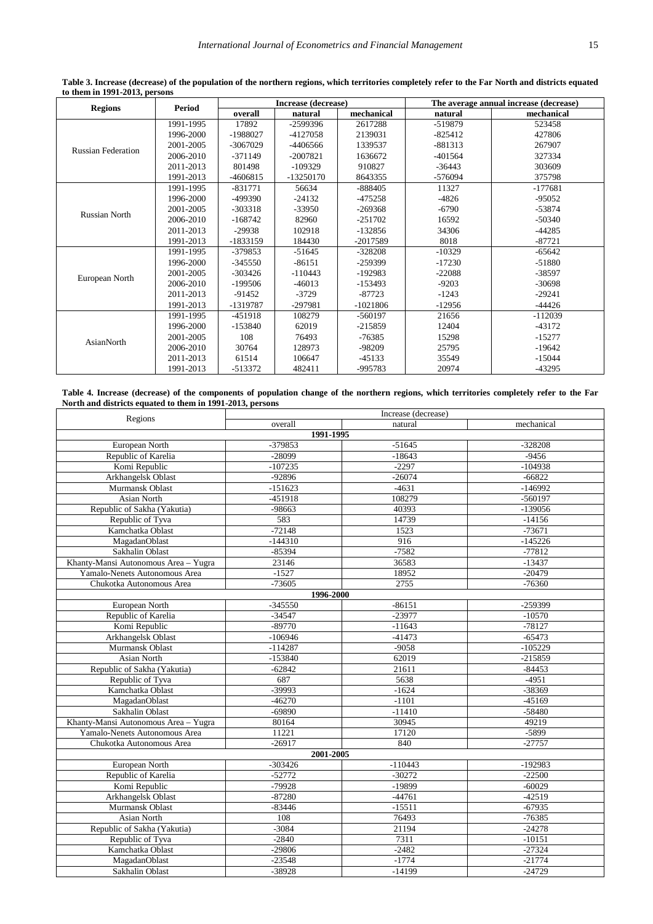<span id="page-3-0"></span>

|                           |               | Increase (decrease) |             |            | The average annual increase (decrease) |            |
|---------------------------|---------------|---------------------|-------------|------------|----------------------------------------|------------|
| <b>Regions</b>            | <b>Period</b> | overall             | natural     | mechanical | natural                                | mechanical |
| <b>Russian Federation</b> | 1991-1995     | 17892               | -2599396    | 2617288    | -519879                                | 523458     |
|                           | 1996-2000     | -1988027            | -4127058    | 2139031    | $-825412$                              | 427806     |
|                           | 2001-2005     | $-3067029$          | -4406566    | 1339537    | $-881313$                              | 267907     |
|                           | 2006-2010     | $-371149$           | $-2007821$  | 1636672    | $-401564$                              | 327334     |
|                           | 2011-2013     | 801498              | $-109329$   | 910827     | $-36443$                               | 303609     |
|                           | 1991-2013     | $-4606815$          | $-13250170$ | 8643355    | -576094                                | 375798     |
|                           | 1991-1995     | $-831771$           | 56634       | $-888405$  | 11327                                  | $-177681$  |
|                           | 1996-2000     | -499390             | $-24132$    | -475258    | $-4826$                                | $-95052$   |
| <b>Russian North</b>      | 2001-2005     | $-303318$           | $-33950$    | $-269368$  | $-6790$                                | $-53874$   |
|                           | 2006-2010     | $-168742$           | 82960       | $-251702$  | 16592                                  | $-50340$   |
|                           | 2011-2013     | $-29938$            | 102918      | $-132856$  | 34306                                  | $-44285$   |
|                           | 1991-2013     | -1833159            | 184430      | $-2017589$ | 8018                                   | $-87721$   |
|                           | 1991-1995     | $-379853$           | $-51645$    | $-328208$  | $-10329$                               | $-65642$   |
|                           | 1996-2000     | $-345550$           | $-86151$    | $-259399$  | $-17230$                               | $-51880$   |
|                           | 2001-2005     | $-303426$           | $-110443$   | $-192983$  | $-22088$                               | -38597     |
| European North            | 2006-2010     | $-199506$           | $-46013$    | $-153493$  | $-9203$                                | $-30698$   |
|                           | 2011-2013     | $-91452$            | $-3729$     | $-87723$   | $-1243$                                | $-29241$   |
|                           | 1991-2013     | -1319787            | -297981     | $-1021806$ | $-12956$                               | $-44426$   |
| AsianNorth                | 1991-1995     | $-451918$           | 108279      | $-560197$  | 21656                                  | $-112039$  |
|                           | 1996-2000     | $-153840$           | 62019       | $-215859$  | 12404                                  | $-43172$   |
|                           | 2001-2005     | 108                 | 76493       | $-76385$   | 15298                                  | $-15277$   |
|                           | 2006-2010     | 30764               | 128973      | -98209     | 25795                                  | $-19642$   |
|                           | 2011-2013     | 61514               | 106647      | $-45133$   | 35549                                  | $-15044$   |
|                           | 1991-2013     | -513372             | 482411      | -995783    | 20974                                  | $-43295$   |

**Table 3. Increase (decrease) of the population of the northern regions, which territories completely refer to the Far North and districts equated to them in 1991-2013, persons**

**Table 4. Increase (decrease) of the components of population change of the northern regions, which territories completely refer to the Far North and districts equated to them in 1991-2013, persons**

<span id="page-3-1"></span>

| Regions                              | Increase (decrease) |           |            |  |  |  |
|--------------------------------------|---------------------|-----------|------------|--|--|--|
|                                      | overall             | natural   | mechanical |  |  |  |
| 1991-1995                            |                     |           |            |  |  |  |
| European North                       | -379853             | $-51645$  | $-328208$  |  |  |  |
| Republic of Karelia                  | $-28099$            | $-18643$  | $-9456$    |  |  |  |
| Komi Republic                        | $-107235$           | $-2297$   | $-104938$  |  |  |  |
| Arkhangelsk Oblast                   | $-92896$            | $-26074$  | $-66822$   |  |  |  |
| Murmansk Oblast                      | $-151623$           | $-4631$   | $-146992$  |  |  |  |
| Asian North                          | $-451918$           | 108279    | $-560197$  |  |  |  |
| Republic of Sakha (Yakutia)          | -98663              | 40393     | $-139056$  |  |  |  |
| Republic of Tyva                     | 583                 | 14739     | $-14156$   |  |  |  |
| Kamchatka Oblast                     | $-72148$            | 1523      | $-73671$   |  |  |  |
| MagadanOblast                        | $-144310$           | 916       | $-145226$  |  |  |  |
| Sakhalin Oblast                      | $-85394$            | $-7582$   | $-77812$   |  |  |  |
| Khanty-Mansi Autonomous Area - Yugra | 23146               | 36583     | $-13437$   |  |  |  |
| Yamalo-Nenets Autonomous Area        | $-1527$             | 18952     | $-20479$   |  |  |  |
| Chukotka Autonomous Area             | $-73605$            | 2755      | $-76360$   |  |  |  |
|                                      | 1996-2000           |           |            |  |  |  |
| European North                       | $-345550$           | $-86151$  | -259399    |  |  |  |
| Republic of Karelia                  | $-34547$            | $-23977$  | $-10570$   |  |  |  |
| Komi Republic                        | $-89770$            | $-11643$  | $-78127$   |  |  |  |
| Arkhangelsk Oblast                   | $-106946$           | $-41473$  | $-65473$   |  |  |  |
| Murmansk Oblast                      | $-114287$           | $-9058$   | $-105229$  |  |  |  |
| Asian North                          | $-153840$           | 62019     | $-215859$  |  |  |  |
| Republic of Sakha (Yakutia)          | $-62842$            | 21611     | $-84453$   |  |  |  |
| Republic of Tyva                     | 687                 | 5638      | $-4951$    |  |  |  |
| Kamchatka Oblast                     | -39993              | $-1624$   | -38369     |  |  |  |
| MagadanOblast                        | $-46270$            | $-1101$   | $-45169$   |  |  |  |
| Sakhalin Oblast                      | $-69890$            | $-11410$  | $-58480$   |  |  |  |
| Khanty-Mansi Autonomous Area - Yugra | 80164               | 30945     | 49219      |  |  |  |
| Yamalo-Nenets Autonomous Area        | 11221               | 17120     | $-5899$    |  |  |  |
| Chukotka Autonomous Area             | $-26917$            | 840       | $-27757$   |  |  |  |
| 2001-2005                            |                     |           |            |  |  |  |
| European North                       | $-303426$           | $-110443$ | $-192983$  |  |  |  |
| Republic of Karelia                  | $-52772$            | $-30272$  | $-22500$   |  |  |  |
| Komi Republic                        | $-79928$            | -19899    | $-60029$   |  |  |  |
| Arkhangelsk Oblast                   | $-87280$            | $-44761$  | $-42519$   |  |  |  |
| Murmansk Oblast                      | $-83446$            | $-15511$  | $-67935$   |  |  |  |
| <b>Asian North</b>                   | 108                 | 76493     | $-76385$   |  |  |  |
| Republic of Sakha (Yakutia)          | $-3084$             | 21194     | $-24278$   |  |  |  |
| Republic of Tyva                     | $-2840$             | 7311      | $-10151$   |  |  |  |
| Kamchatka Oblast                     | $-29806$            | $-2482$   | $-27324$   |  |  |  |
| MagadanOblast                        | $-23548$            | $-1774$   | $-21774$   |  |  |  |
| Sakhalin Oblast                      | -38928              | $-14199$  | $-24729$   |  |  |  |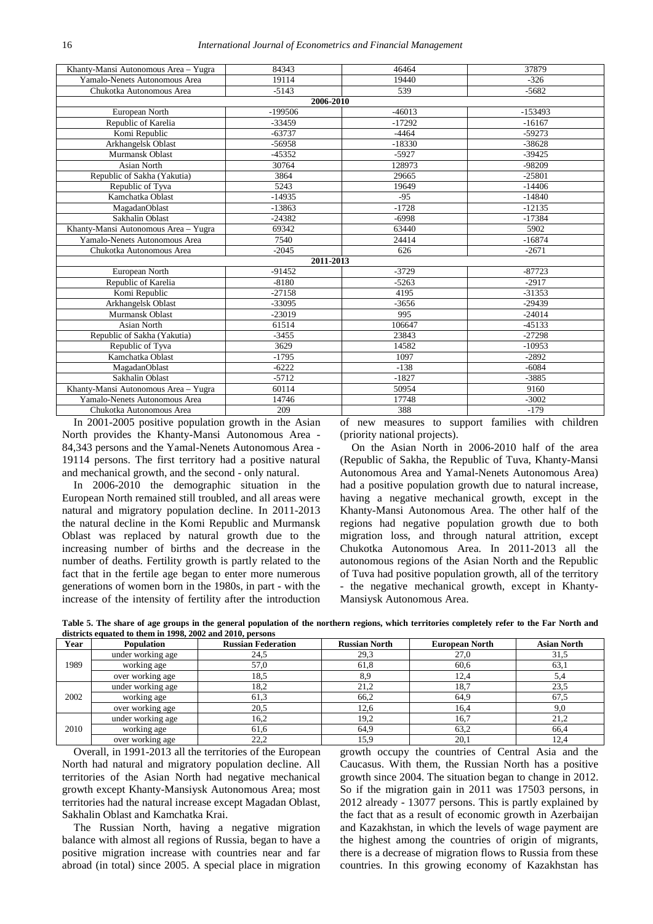| Khanty-Mansi Autonomous Area - Yugra | 84343     | 46464    | 37879     |  |  |
|--------------------------------------|-----------|----------|-----------|--|--|
| Yamalo-Nenets Autonomous Area        | 19114     | 19440    | $-326$    |  |  |
| Chukotka Autonomous Area             | $-5143$   | 539      | $-5682$   |  |  |
| 2006-2010                            |           |          |           |  |  |
| European North                       | $-199506$ | $-46013$ | $-153493$ |  |  |
| Republic of Karelia                  | $-33459$  | $-17292$ | $-16167$  |  |  |
| Komi Republic                        | $-63737$  | $-4464$  | $-59273$  |  |  |
| Arkhangelsk Oblast                   | $-56958$  | $-18330$ | $-38628$  |  |  |
| Murmansk Oblast                      | $-45352$  | $-5927$  | $-39425$  |  |  |
| <b>Asian North</b>                   | 30764     | 128973   | $-98209$  |  |  |
| Republic of Sakha (Yakutia)          | 3864      | 29665    | $-25801$  |  |  |
| Republic of Tyva                     | 5243      | 19649    | $-14406$  |  |  |
| Kamchatka Oblast                     | $-14935$  | $-95$    | $-14840$  |  |  |
| MagadanOblast                        | $-13863$  | $-1728$  | $-12135$  |  |  |
| Sakhalin Oblast                      | $-24382$  | $-6998$  | $-17384$  |  |  |
| Khanty-Mansi Autonomous Area - Yugra | 69342     | 63440    | 5902      |  |  |
| Yamalo-Nenets Autonomous Area        | 7540      | 24414    | $-16874$  |  |  |
| Chukotka Autonomous Area             | $-2045$   | 626      | $-2671$   |  |  |
|                                      | 2011-2013 |          |           |  |  |
| European North                       | $-91452$  | $-3729$  | $-87723$  |  |  |
| Republic of Karelia                  | $-8180$   | $-5263$  | $-2917$   |  |  |
| Komi Republic                        | $-27158$  | 4195     | $-31353$  |  |  |
| Arkhangelsk Oblast                   | -33095    | $-3656$  | $-29439$  |  |  |
| Murmansk Oblast                      | $-23019$  | 995      | $-24014$  |  |  |
| Asian North                          | 61514     | 106647   | $-45133$  |  |  |
| Republic of Sakha (Yakutia)          | $-3455$   | 23843    | $-27298$  |  |  |
| Republic of Tyva                     | 3629      | 14582    | $-10953$  |  |  |
| Kamchatka Oblast                     | $-1795$   | 1097     | $-2892$   |  |  |
| MagadanOblast                        | $-6222$   | $-138$   | $-6084$   |  |  |
| Sakhalin Oblast                      | $-5712$   | $-1827$  | $-3885$   |  |  |
| Khanty-Mansi Autonomous Area - Yugra | 60114     | 50954    | 9160      |  |  |
| Yamalo-Nenets Autonomous Area        | 14746     | 17748    | $-3002$   |  |  |
| Chukotka Autonomous Area             | 209       | 388      | $-179$    |  |  |
|                                      |           |          |           |  |  |

In 2001-2005 positive population growth in the Asian North provides the Khanty-Mansi Autonomous Area - 84,343 persons and the Yamal-Nenets Autonomous Area - 19114 persons. The first territory had a positive natural and mechanical growth, and the second - only natural.

In 2006-2010 the demographic situation in the European North remained still troubled, and all areas were natural and migratory population decline. In 2011-2013 the natural decline in the Komi Republic and Murmansk Oblast was replaced by natural growth due to the increasing number of births and the decrease in the number of deaths. Fertility growth is partly related to the fact that in the fertile age began to enter more numerous generations of women born in the 1980s, in part - with the increase of the intensity of fertility after the introduction of new measures to support families with children (priority national projects).

On the Asian North in 2006-2010 half of the area (Republic of Sakha, the Republic of Tuva, Khanty-Mansi Autonomous Area and Yamal-Nenets Autonomous Area) had a positive population growth due to natural increase, having a negative mechanical growth, except in the Khanty-Mansi Autonomous Area. The other half of the regions had negative population growth due to both migration loss, and through natural attrition, except Chukotka Autonomous Area. In 2011-2013 all the autonomous regions of the Asian North and the Republic of Tuva had positive population growth, all of the territory - the negative mechanical growth, except in Khanty-Mansiysk Autonomous Area.

**Table 5. The share of age groups in the general population of the northern regions, which territories completely refer to the Far North and districts equated to them in 1998, 2002 and 2010, persons**

<span id="page-4-0"></span>

| Year | <b>Population</b> | <b>Russian Federation</b> | <b>Russian North</b> | <b>European North</b> | <b>Asian North</b> |
|------|-------------------|---------------------------|----------------------|-----------------------|--------------------|
| 1989 | under working age | 24,5                      | 29,3                 | 27,0                  | 31,5               |
|      | working age       | 57,0                      | 61,8                 | 60,6                  | 63,1               |
|      | over working age  | 18,5                      | 8.9                  | 12.4                  | 5,4                |
| 2002 | under working age | 18,2                      | 21,2                 | 18,7                  | 23.5               |
|      | working age       | 61,3                      | 66,2                 | 64,9                  | 67,5               |
|      | over working age  | 20,5                      | 12,6                 | 16.4                  | 9.0                |
| 2010 | under working age | 16,2                      | 19,2                 | 16,7                  | 21.2               |
|      | working age       | 61,6                      | 64.9                 | 63.2                  | 66.4               |
|      | over working age  | 22,2                      | 15,9                 | 20,1                  | 12,4               |

Overall, in 1991-2013 all the territories of the European North had natural and migratory population decline. All territories of the Asian North had negative mechanical growth except Khanty-Mansiysk Autonomous Area; most territories had the natural increase except Magadan Oblast, Sakhalin Oblast and Kamchatka Krai.

The Russian North, having a negative migration balance with almost all regions of Russia, began to have a positive migration increase with countries near and far abroad (in total) since 2005. A special place in migration growth occupy the countries of Central Asia and the Caucasus. With them, the Russian North has a positive growth since 2004. The situation began to change in 2012. So if the migration gain in 2011 was 17503 persons, in 2012 already - 13077 persons. This is partly explained by the fact that as a result of economic growth in Azerbaijan and Kazakhstan, in which the levels of wage payment are the highest among the countries of origin of migrants, there is a decrease of migration flows to Russia from these countries. In this growing economy of Kazakhstan has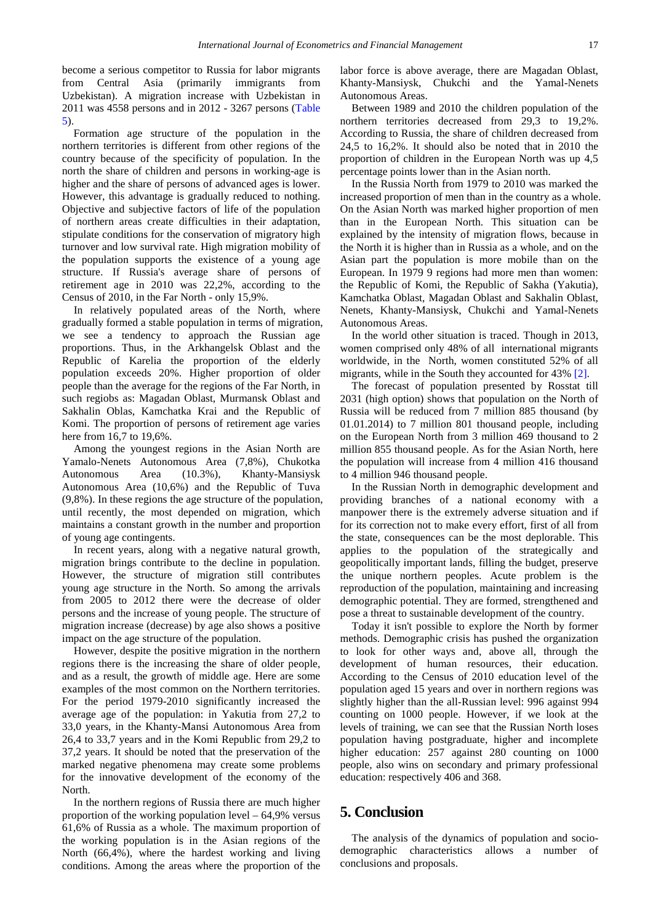become a serious competitor to Russia for labor migrants from Central Asia (primarily immigrants from Uzbekistan). A migration increase with Uzbekistan in 2011 was 4558 persons and in 2012 - 3267 persons [\(Table](#page-4-0)  [5\)](#page-4-0).

Formation age structure of the population in the northern territories is different from other regions of the country because of the specificity of population. In the north the share of children and persons in working-age is higher and the share of persons of advanced ages is lower. However, this advantage is gradually reduced to nothing. Objective and subjective factors of life of the population of northern areas create difficulties in their adaptation, stipulate conditions for the conservation of migratory high turnover and low survival rate. High migration mobility of the population supports the existence of a young age structure. If Russia's average share of persons of retirement age in 2010 was 22,2%, according to the Census of 2010, in the Far North - only 15,9%.

In relatively populated areas of the North, where gradually formed a stable population in terms of migration, we see a tendency to approach the Russian age proportions. Thus, in the Arkhangelsk Oblast and the Republic of Karelia the proportion of the elderly population exceeds 20%. Higher proportion of older people than the average for the regions of the Far North, in such regiobs as: Magadan Oblast, Murmansk Oblast and Sakhalin Oblas, Kamchatka Krai and the Republic of Komi. The proportion of persons of retirement age varies here from 16,7 to 19,6%.

Among the youngest regions in the Asian North are Yamalo-Nenets Autonomous Area (7,8%), Chukotka Autonomous Area (10.3%), Khanty-Mansiysk Autonomous Area (10,6%) and the Republic of Tuva (9,8%). In these regions the age structure of the population, until recently, the most depended on migration, which maintains a constant growth in the number and proportion of young age contingents.

In recent years, along with a negative natural growth, migration brings contribute to the decline in population. However, the structure of migration still contributes young age structure in the North. So among the arrivals from 2005 to 2012 there were the decrease of older persons and the increase of young people. The structure of migration increase (decrease) by age also shows a positive impact on the age structure of the population.

However, despite the positive migration in the northern regions there is the increasing the share of older people, and as a result, the growth of middle age. Here are some examples of the most common on the Northern territories. For the period 1979-2010 significantly increased the average age of the population: in Yakutia from 27,2 to 33,0 years, in the Khanty-Mansi Autonomous Area from 26,4 to 33,7 years and in the Komi Republic from 29,2 to 37,2 years. It should be noted that the preservation of the marked negative phenomena may create some problems for the innovative development of the economy of the North.

In the northern regions of Russia there are much higher proportion of the working population level – 64,9% versus 61,6% of Russia as a whole. The maximum proportion of the working population is in the Asian regions of the North (66,4%), where the hardest working and living conditions. Among the areas where the proportion of the

labor force is above average, there are Magadan Oblast, Khanty-Mansiysk, Chukchi and the Yamal-Nenets Autonomous Areas.

Between 1989 and 2010 the children population of the northern territories decreased from 29,3 to 19,2%. According to Russia, the share of children decreased from 24,5 to 16,2%. It should also be noted that in 2010 the proportion of children in the European North was up 4,5 percentage points lower than in the Asian north.

In the Russia North from 1979 to 2010 was marked the increased proportion of men than in the country as a whole. On the Asian North was marked higher proportion of men than in the European North. This situation can be explained by the intensity of migration flows, because in the North it is higher than in Russia as a whole, and on the Asian part the population is more mobile than on the European. In 1979 9 regions had more men than women: the Republic of Komi, the Republic of Sakha (Yakutia), Kamchatka Oblast, Magadan Oblast and Sakhalin Oblast, Nenets, Khanty-Mansiysk, Chukchi and Yamal-Nenets Autonomous Areas.

In the world other situation is traced. Though in 2013, women comprised only 48% of all international migrants worldwide, in the North, women constituted 52% of all migrants, while in the South they accounted for 43% [2].

The forecast of population presented by Rosstat till 2031 (high option) shows that population on the North of Russia will be reduced from 7 million 885 thousand (by 01.01.2014) to 7 million 801 thousand people, including on the European North from 3 million 469 thousand to 2 million 855 thousand people. As for the Asian North, here the population will increase from 4 million 416 thousand to 4 million 946 thousand people.

In the Russian North in demographic development and providing branches of a national economy with a manpower there is the extremely adverse situation and if for its correction not to make every effort, first of all from the state, consequences can be the most deplorable. This applies to the population of the strategically and geopolitically important lands, filling the budget, preserve the unique northern peoples. Acute problem is the reproduction of the population, maintaining and increasing demographic potential. They are formed, strengthened and pose a threat to sustainable development of the country.

Today it isn't possible to explore the North by former methods. Demographic crisis has pushed the organization to look for other ways and, above all, through the development of human resources, their education. According to the Census of 2010 education level of the population aged 15 years and over in northern regions was slightly higher than the all-Russian level: 996 against 994 counting on 1000 people. However, if we look at the levels of training, we can see that the Russian North loses population having postgraduate, higher and incomplete higher education: 257 against 280 counting on 1000 people, also wins on secondary and primary professional education: respectively 406 and 368.

## **5. Conclusion**

The analysis of the dynamics of population and sociodemographic characteristics allows a number of conclusions and proposals.